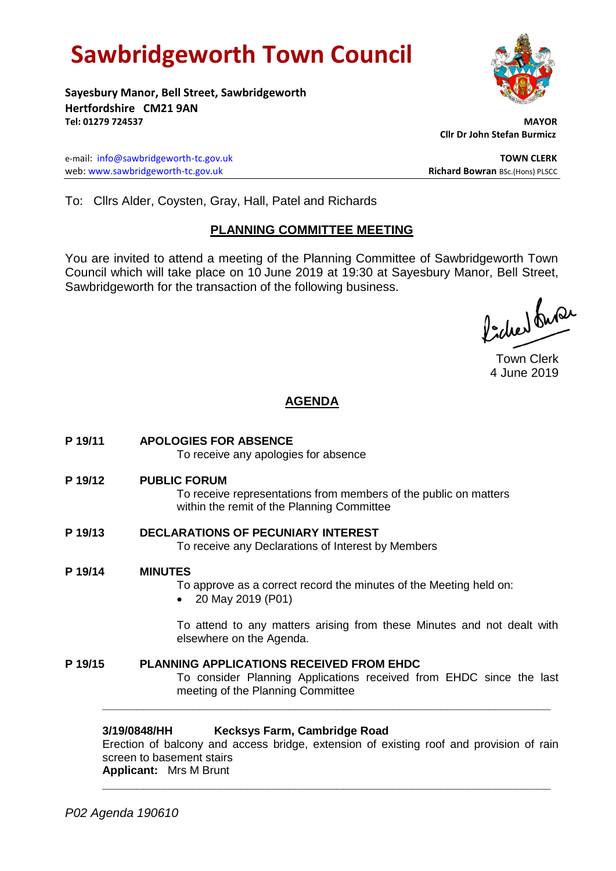# **Sawbridgeworth Town Council**

**Sayesbury Manor, Bell Street, Sawbridgeworth Hertfordshire CM21 9AN Tel: 01279 724537 MAYOR**

e-mail: [info@sawbridgeworth-tc.gov.uk](mailto:info@sawbridgeworth-tc.gov.uk) **TOWN CLERK** web: www.sawbridgeworth-tc.gov.uk<br> **Richard Bowran** BSc.(Hons) PLSCC

 **Cllr Dr John Stefan Burmicz**

To: Cllrs Alder, Coysten, Gray, Hall, Patel and Richards

### **PLANNING COMMITTEE MEETING**

You are invited to attend a meeting of the Planning Committee of Sawbridgeworth Town Council which will take place on 10 June 2019 at 19:30 at Sayesbury Manor, Bell Street, Sawbridgeworth for the transaction of the following business.

ladier buse

Town Clerk 4 June 2019

# **AGENDA**

**P 19/11 APOLOGIES FOR ABSENCE**

To receive any apologies for absence

**P 19/12 PUBLIC FORUM**

To receive representations from members of the public on matters within the remit of the Planning Committee

- **P 19/13 DECLARATIONS OF PECUNIARY INTEREST** To receive any Declarations of Interest by Members
- **P 19/14 MINUTES**

To approve as a correct record the minutes of the Meeting held on:

20 May 2019 (P01)

To attend to any matters arising from these Minutes and not dealt with elsewhere on the Agenda.

**P 19/15 PLANNING APPLICATIONS RECEIVED FROM EHDC** To consider Planning Applications received from EHDC since the last meeting of the Planning Committee

#### **3/19/0848/HH Kecksys Farm, Cambridge Road**

Erection of balcony and access bridge, extension of existing roof and provision of rain screen to basement stairs **Applicant:** Mrs M Brunt

**\_\_\_\_\_\_\_\_\_\_\_\_\_\_\_\_\_\_\_\_\_\_\_\_\_\_\_\_\_\_\_\_\_\_\_\_\_\_\_\_\_\_\_\_\_\_\_\_\_\_\_\_\_\_\_\_\_\_\_\_\_\_\_\_\_**

**\_\_\_\_\_\_\_\_\_\_\_\_\_\_\_\_\_\_\_\_\_\_\_\_\_\_\_\_\_\_\_\_\_\_\_\_\_\_\_\_\_\_\_\_\_\_\_\_\_\_\_\_\_\_\_\_\_\_\_\_\_\_\_\_\_**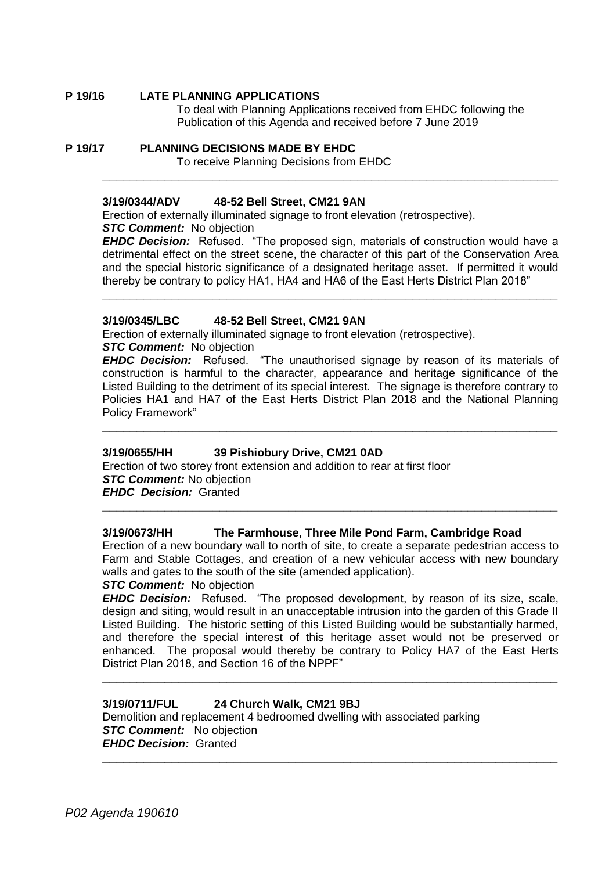**P 19/16 LATE PLANNING APPLICATIONS**

To deal with Planning Applications received from EHDC following the Publication of this Agenda and received before 7 June 2019

**P 19/17 PLANNING DECISIONS MADE BY EHDC** To receive Planning Decisions from EHDC

#### **3/19/0344/ADV 48-52 Bell Street, CM21 9AN**

Erection of externally illuminated signage to front elevation (retrospective). **STC Comment:** No objection

*EHDC Decision:* Refused. "The proposed sign, materials of construction would have a detrimental effect on the street scene, the character of this part of the Conservation Area and the special historic significance of a designated heritage asset. If permitted it would thereby be contrary to policy HA1, HA4 and HA6 of the East Herts District Plan 2018"

**\_\_\_\_\_\_\_\_\_\_\_\_\_\_\_\_\_\_\_\_\_\_\_\_\_\_\_\_\_\_\_\_\_\_\_\_\_\_\_\_\_\_\_\_\_\_\_\_\_\_\_\_\_\_\_\_\_\_\_\_\_\_\_\_\_\_**

**\_\_\_\_\_\_\_\_\_\_\_\_\_\_\_\_\_\_\_\_\_\_\_\_\_\_\_\_\_\_\_\_\_\_\_\_\_\_\_\_\_\_\_\_\_\_\_\_\_\_\_\_\_\_\_\_\_\_\_\_\_\_\_\_\_\_**

#### **3/19/0345/LBC 48-52 Bell Street, CM21 9AN**

Erection of externally illuminated signage to front elevation (retrospective).

*STC Comment:* No objection

**EHDC Decision:** Refused. "The unauthorised signage by reason of its materials of construction is harmful to the character, appearance and heritage significance of the Listed Building to the detriment of its special interest. The signage is therefore contrary to Policies HA1 and HA7 of the East Herts District Plan 2018 and the National Planning Policy Framework"

**\_\_\_\_\_\_\_\_\_\_\_\_\_\_\_\_\_\_\_\_\_\_\_\_\_\_\_\_\_\_\_\_\_\_\_\_\_\_\_\_\_\_\_\_\_\_\_\_\_\_\_\_\_\_\_\_\_\_\_\_\_\_\_\_\_\_**

#### **3/19/0655/HH 39 Pishiobury Drive, CM21 0AD**

Erection of two storey front extension and addition to rear at first floor *STC Comment:* No objection *EHDC Decision:* Granted

#### **3/19/0673/HH The Farmhouse, Three Mile Pond Farm, Cambridge Road**

Erection of a new boundary wall to north of site, to create a separate pedestrian access to Farm and Stable Cottages, and creation of a new vehicular access with new boundary walls and gates to the south of the site (amended application).

**\_\_\_\_\_\_\_\_\_\_\_\_\_\_\_\_\_\_\_\_\_\_\_\_\_\_\_\_\_\_\_\_\_\_\_\_\_\_\_\_\_\_\_\_\_\_\_\_\_\_\_\_\_\_\_\_\_\_\_\_\_\_\_\_\_\_**

#### *STC Comment:* No objection

*EHDC Decision:* Refused. "The proposed development, by reason of its size, scale, design and siting, would result in an unacceptable intrusion into the garden of this Grade II Listed Building. The historic setting of this Listed Building would be substantially harmed, and therefore the special interest of this heritage asset would not be preserved or enhanced. The proposal would thereby be contrary to Policy HA7 of the East Herts District Plan 2018, and Section 16 of the NPPF"

**\_\_\_\_\_\_\_\_\_\_\_\_\_\_\_\_\_\_\_\_\_\_\_\_\_\_\_\_\_\_\_\_\_\_\_\_\_\_\_\_\_\_\_\_\_\_\_\_\_\_\_\_\_\_\_\_\_\_\_\_\_\_\_\_\_\_**

**\_\_\_\_\_\_\_\_\_\_\_\_\_\_\_\_\_\_\_\_\_\_\_\_\_\_\_\_\_\_\_\_\_\_\_\_\_\_\_\_\_\_\_\_\_\_\_\_\_\_\_\_\_\_\_\_\_\_\_\_\_\_\_\_\_\_**

## **3/19/0711/FUL 24 Church Walk, CM21 9BJ**

Demolition and replacement 4 bedroomed dwelling with associated parking **STC Comment:** No objection *EHDC Decision:* Granted